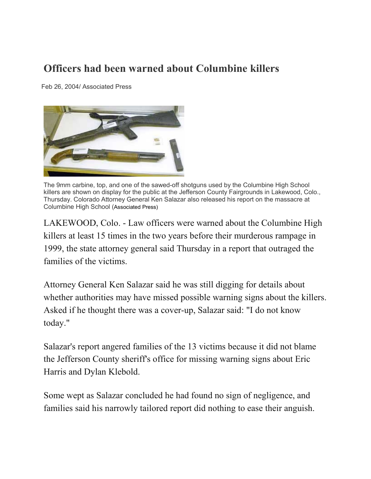## **Officers had been warned about Columbine killers**

Feb 26, 2004/ Associated Press



The 9mm carbine, top, and one of the sawed-off shotguns used by the Columbine High School killers are shown on display for the public at the Jefferson County Fairgrounds in Lakewood, Colo., Thursday. Colorado Attorney General Ken Salazar also released his report on the massacre at Columbine High School (Associated Press)

LAKEWOOD, Colo. - Law officers were warned about the Columbine High killers at least 15 times in the two years before their murderous rampage in 1999, the state attorney general said Thursday in a report that outraged the families of the victims.

Attorney General Ken Salazar said he was still digging for details about whether authorities may have missed possible warning signs about the killers. Asked if he thought there was a cover-up, Salazar said: "I do not know today."

Salazar's report angered families of the 13 victims because it did not blame the Jefferson County sheriff's office for missing warning signs about Eric Harris and Dylan Klebold.

Some wept as Salazar concluded he had found no sign of negligence, and families said his narrowly tailored report did nothing to ease their anguish.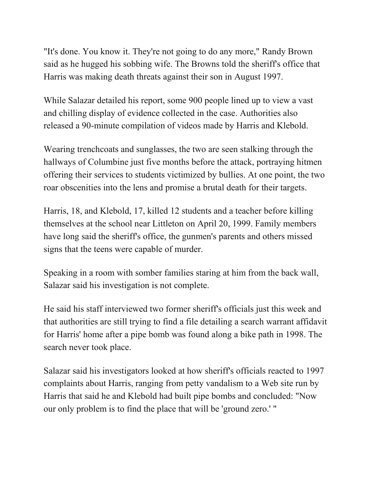"It's done. You know it. They're not going to do any more," Randy Brown said as he hugged his sobbing wife. The Browns told the sheriff's office that Harris was making death threats against their son in August 1997.

While Salazar detailed his report, some 900 people lined up to view a vast and chilling display of evidence collected in the case. Authorities also released a 90-minute compilation of videos made by Harris and Klebold.

Wearing trenchcoats and sunglasses, the two are seen stalking through the hallways of Columbine just five months before the attack, portraying hitmen offering their services to students victimized by bullies. At one point, the two roar obscenities into the lens and promise a brutal death for their targets.

Harris, 18, and Klebold, 17, killed 12 students and a teacher before killing themselves at the school near Littleton on April 20, 1999. Family members have long said the sheriff's office, the gunmen's parents and others missed signs that the teens were capable of murder.

Speaking in a room with somber families staring at him from the back wall, Salazar said his investigation is not complete.

He said his staff interviewed two former sheriff's officials just this week and that authorities are still trying to find a file detailing a search warrant affidavit for Harris' home after a pipe bomb was found along a bike path in 1998. The search never took place.

Salazar said his investigators looked at how sheriff's officials reacted to 1997 complaints about Harris, ranging from petty vandalism to a Web site run by Harris that said he and Klebold had built pipe bombs and concluded: "Now our only problem is to find the place that will be 'ground zero.' "